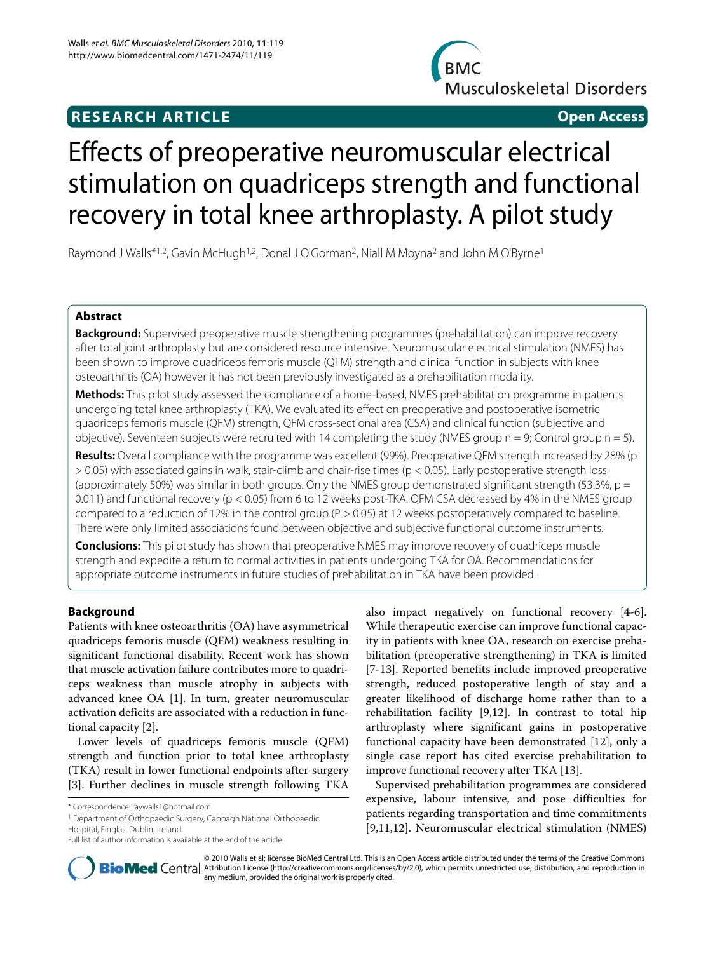## **RESEARCH ARTICLE Open Access**



# Effects of preoperative neuromuscular electrical stimulation on quadriceps strength and functional recovery in total knee arthroplasty. A pilot study

Raymond J Walls\*1,2, Gavin McHugh1,2, Donal J O'Gorman<sup>2</sup>, Niall M Moyna<sup>2</sup> and John M O'Byrne<sup>1</sup>

## **Abstract**

**Background:** Supervised preoperative muscle strengthening programmes (prehabilitation) can improve recovery after total joint arthroplasty but are considered resource intensive. Neuromuscular electrical stimulation (NMES) has been shown to improve quadriceps femoris muscle (QFM) strength and clinical function in subjects with knee osteoarthritis (OA) however it has not been previously investigated as a prehabilitation modality.

**Methods:** This pilot study assessed the compliance of a home-based, NMES prehabilitation programme in patients undergoing total knee arthroplasty (TKA). We evaluated its effect on preoperative and postoperative isometric quadriceps femoris muscle (QFM) strength, QFM cross-sectional area (CSA) and clinical function (subjective and objective). Seventeen subjects were recruited with 14 completing the study (NMES group  $n = 9$ ; Control group  $n = 5$ ).

**Results:** Overall compliance with the programme was excellent (99%). Preoperative QFM strength increased by 28% (p > 0.05) with associated gains in walk, stair-climb and chair-rise times (p < 0.05). Early postoperative strength loss (approximately 50%) was similar in both groups. Only the NMES group demonstrated significant strength (53.3%,  $p =$ 0.011) and functional recovery (p < 0.05) from 6 to 12 weeks post-TKA. QFM CSA decreased by 4% in the NMES group compared to a reduction of 12% in the control group  $(P > 0.05)$  at 12 weeks postoperatively compared to baseline. There were only limited associations found between objective and subjective functional outcome instruments.

**Conclusions:** This pilot study has shown that preoperative NMES may improve recovery of quadriceps muscle strength and expedite a return to normal activities in patients undergoing TKA for OA. Recommendations for appropriate outcome instruments in future studies of prehabilitation in TKA have been provided.

## **Background**

Patients with knee osteoarthritis (OA) have asymmetrical quadriceps femoris muscle (QFM) weakness resulting in significant functional disability. Recent work has shown that muscle activation failure contributes more to quadriceps weakness than muscle atrophy in subjects with advanced knee OA [\[1](#page-8-0)]. In turn, greater neuromuscular activation deficits are associated with a reduction in functional capacity [[2](#page-8-1)].

Lower levels of quadriceps femoris muscle (QFM) strength and function prior to total knee arthroplasty (TKA) result in lower functional endpoints after surgery [[3\]](#page-8-2). Further declines in muscle strength following TKA

1 Department of Orthopaedic Surgery, Cappagh National Orthopaedic Hospital, Finglas, Dublin, Ireland

also impact negatively on functional recovery [[4](#page-8-3)[-6](#page-8-4)]. While therapeutic exercise can improve functional capacity in patients with knee OA, research on exercise prehabilitation (preoperative strengthening) in TKA is limited [[7](#page-8-5)[-13](#page-8-6)]. Reported benefits include improved preoperative strength, reduced postoperative length of stay and a greater likelihood of discharge home rather than to a rehabilitation facility [[9,](#page-8-7)[12\]](#page-8-8). In contrast to total hip arthroplasty where significant gains in postoperative functional capacity have been demonstrated [[12\]](#page-8-8), only a single case report has cited exercise prehabilitation to improve functional recovery after TKA [[13\]](#page-8-6).

Supervised prehabilitation programmes are considered expensive, labour intensive, and pose difficulties for patients regarding transportation and time commitments [[9,](#page-8-7)[11](#page-8-9)[,12](#page-8-8)]. Neuromuscular electrical stimulation (NMES)



© 2010 Walls et al; licensee BioMed Central Ltd. This is an Open Access article distributed under the terms of the Creative Commons **Bio Med** Central Attribution License (http://creativecommons.org/licenses/by/2.0), which permits unrestricted use, distribution, and reproduction in any medium, provided the original work is properly cited.

<sup>\*</sup> Correspondence: raywalls1@hotmail.com

Full list of author information is available at the end of the article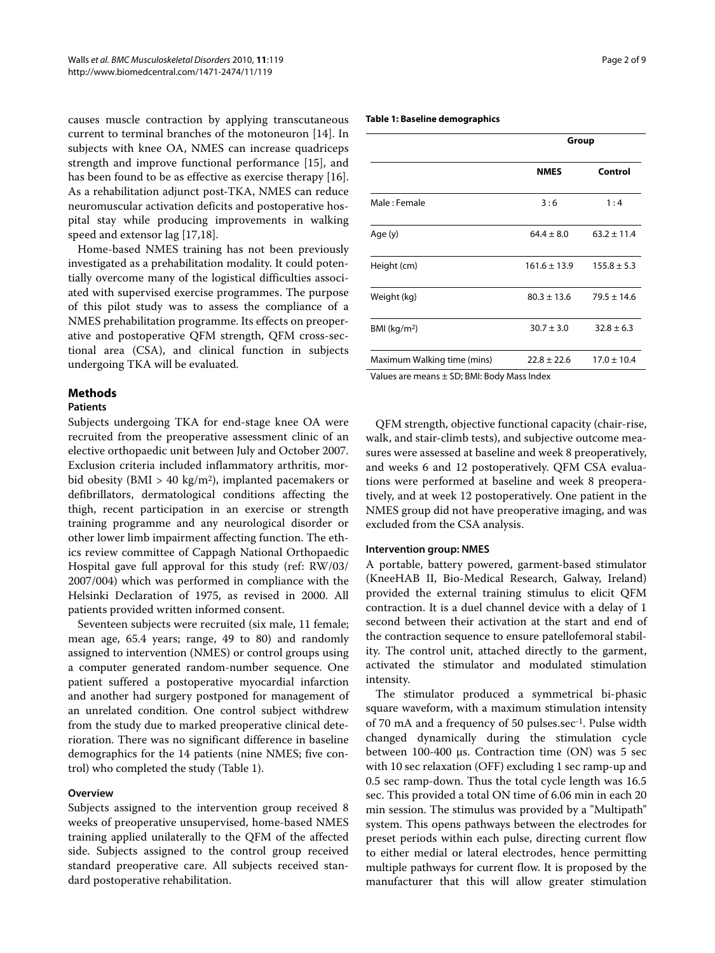causes muscle contraction by applying transcutaneous current to terminal branches of the motoneuron [[14](#page-8-10)]. In subjects with knee OA, NMES can increase quadriceps strength and improve functional performance [\[15](#page-8-11)], and has been found to be as effective as exercise therapy [\[16](#page-8-12)]. As a rehabilitation adjunct post-TKA, NMES can reduce neuromuscular activation deficits and postoperative hospital stay while producing improvements in walking speed and extensor lag [[17](#page-8-13),[18\]](#page-8-14).

Home-based NMES training has not been previously investigated as a prehabilitation modality. It could potentially overcome many of the logistical difficulties associated with supervised exercise programmes. The purpose of this pilot study was to assess the compliance of a NMES prehabilitation programme. Its effects on preoperative and postoperative QFM strength, QFM cross-sectional area (CSA), and clinical function in subjects undergoing TKA will be evaluated.

## **Methods**

## **Patients**

Subjects undergoing TKA for end-stage knee OA were recruited from the preoperative assessment clinic of an elective orthopaedic unit between July and October 2007. Exclusion criteria included inflammatory arthritis, morbid obesity (BMI > 40 kg/m<sup>2</sup>), implanted pacemakers or defibrillators, dermatological conditions affecting the thigh, recent participation in an exercise or strength training programme and any neurological disorder or other lower limb impairment affecting function. The ethics review committee of Cappagh National Orthopaedic Hospital gave full approval for this study (ref: RW/03/ 2007/004) which was performed in compliance with the Helsinki Declaration of 1975, as revised in 2000. All patients provided written informed consent.

Seventeen subjects were recruited (six male, 11 female; mean age, 65.4 years; range, 49 to 80) and randomly assigned to intervention (NMES) or control groups using a computer generated random-number sequence. One patient suffered a postoperative myocardial infarction and another had surgery postponed for management of an unrelated condition. One control subject withdrew from the study due to marked preoperative clinical deterioration. There was no significant difference in baseline demographics for the 14 patients (nine NMES; five control) who completed the study (Table 1).

## **Overview**

Subjects assigned to the intervention group received 8 weeks of preoperative unsupervised, home-based NMES training applied unilaterally to the QFM of the affected side. Subjects assigned to the control group received standard preoperative care. All subjects received standard postoperative rehabilitation.

#### Page 2 of 9

#### **Table 1: Baseline demographics**

|                  | Group           |  |  |
|------------------|-----------------|--|--|
| <b>NMES</b>      | Control         |  |  |
| 3:6              | 1:4             |  |  |
| $64.4 \pm 8.0$   | $63.2 \pm 11.4$ |  |  |
| $161.6 \pm 13.9$ | $155.8 \pm 5.3$ |  |  |
| $80.3 \pm 13.6$  | $79.5 \pm 14.6$ |  |  |
| $30.7 \pm 3.0$   | $32.8 \pm 6.3$  |  |  |
| $22.8 \pm 22.6$  | $17.0 \pm 10.4$ |  |  |
|                  |                 |  |  |

are means  $\pm$  SD; BMI: Body Mass Index

QFM strength, objective functional capacity (chair-rise, walk, and stair-climb tests), and subjective outcome measures were assessed at baseline and week 8 preoperatively, and weeks 6 and 12 postoperatively. QFM CSA evaluations were performed at baseline and week 8 preoperatively, and at week 12 postoperatively. One patient in the NMES group did not have preoperative imaging, and was excluded from the CSA analysis.

#### **Intervention group: NMES**

A portable, battery powered, garment-based stimulator (KneeHAB II, Bio-Medical Research, Galway, Ireland) provided the external training stimulus to elicit QFM contraction. It is a duel channel device with a delay of 1 second between their activation at the start and end of the contraction sequence to ensure patellofemoral stability. The control unit, attached directly to the garment, activated the stimulator and modulated stimulation intensity.

The stimulator produced a symmetrical bi-phasic square waveform, with a maximum stimulation intensity of 70 mA and a frequency of 50 pulses.sec-1. Pulse width changed dynamically during the stimulation cycle between 100-400 μs. Contraction time (ON) was 5 sec with 10 sec relaxation (OFF) excluding 1 sec ramp-up and 0.5 sec ramp-down. Thus the total cycle length was 16.5 sec. This provided a total ON time of 6.06 min in each 20 min session. The stimulus was provided by a "Multipath" system. This opens pathways between the electrodes for preset periods within each pulse, directing current flow to either medial or lateral electrodes, hence permitting multiple pathways for current flow. It is proposed by the manufacturer that this will allow greater stimulation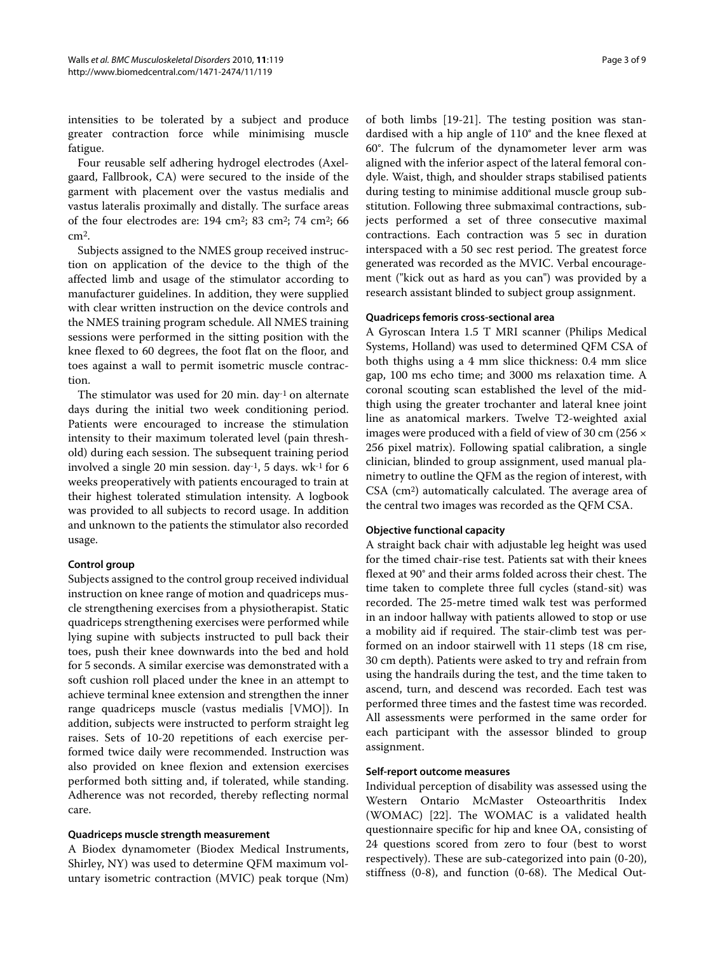intensities to be tolerated by a subject and produce greater contraction force while minimising muscle fatigue.

Four reusable self adhering hydrogel electrodes (Axelgaard, Fallbrook, CA) were secured to the inside of the garment with placement over the vastus medialis and vastus lateralis proximally and distally. The surface areas of the four electrodes are:  $194 \text{ cm}^2$ ;  $83 \text{ cm}^2$ ;  $74 \text{ cm}^2$ ;  $66 \text{ cm}^2$ cm2.

Subjects assigned to the NMES group received instruction on application of the device to the thigh of the affected limb and usage of the stimulator according to manufacturer guidelines. In addition, they were supplied with clear written instruction on the device controls and the NMES training program schedule. All NMES training sessions were performed in the sitting position with the knee flexed to 60 degrees, the foot flat on the floor, and toes against a wall to permit isometric muscle contraction.

The stimulator was used for 20 min. day-1 on alternate days during the initial two week conditioning period. Patients were encouraged to increase the stimulation intensity to their maximum tolerated level (pain threshold) during each session. The subsequent training period involved a single 20 min session. day-1, 5 days. wk-1 for 6 weeks preoperatively with patients encouraged to train at their highest tolerated stimulation intensity. A logbook was provided to all subjects to record usage. In addition and unknown to the patients the stimulator also recorded usage.

## **Control group**

Subjects assigned to the control group received individual instruction on knee range of motion and quadriceps muscle strengthening exercises from a physiotherapist. Static quadriceps strengthening exercises were performed while lying supine with subjects instructed to pull back their toes, push their knee downwards into the bed and hold for 5 seconds. A similar exercise was demonstrated with a soft cushion roll placed under the knee in an attempt to achieve terminal knee extension and strengthen the inner range quadriceps muscle (vastus medialis [VMO]). In addition, subjects were instructed to perform straight leg raises. Sets of 10-20 repetitions of each exercise performed twice daily were recommended. Instruction was also provided on knee flexion and extension exercises performed both sitting and, if tolerated, while standing. Adherence was not recorded, thereby reflecting normal care.

## **Quadriceps muscle strength measurement**

A Biodex dynamometer (Biodex Medical Instruments, Shirley, NY) was used to determine QFM maximum voluntary isometric contraction (MVIC) peak torque (Nm)

of both limbs [\[19-](#page-8-15)[21](#page-8-16)]. The testing position was standardised with a hip angle of 110° and the knee flexed at 60°. The fulcrum of the dynamometer lever arm was aligned with the inferior aspect of the lateral femoral condyle. Waist, thigh, and shoulder straps stabilised patients during testing to minimise additional muscle group substitution. Following three submaximal contractions, subjects performed a set of three consecutive maximal contractions. Each contraction was 5 sec in duration interspaced with a 50 sec rest period. The greatest force generated was recorded as the MVIC. Verbal encouragement ("kick out as hard as you can") was provided by a research assistant blinded to subject group assignment.

## **Quadriceps femoris cross-sectional area**

A Gyroscan Intera 1.5 T MRI scanner (Philips Medical Systems, Holland) was used to determined QFM CSA of both thighs using a 4 mm slice thickness: 0.4 mm slice gap, 100 ms echo time; and 3000 ms relaxation time. A coronal scouting scan established the level of the midthigh using the greater trochanter and lateral knee joint line as anatomical markers. Twelve T2-weighted axial images were produced with a field of view of 30 cm (256 × 256 pixel matrix). Following spatial calibration, a single clinician, blinded to group assignment, used manual planimetry to outline the QFM as the region of interest, with CSA (cm2) automatically calculated. The average area of the central two images was recorded as the QFM CSA.

## **Objective functional capacity**

A straight back chair with adjustable leg height was used for the timed chair-rise test. Patients sat with their knees flexed at 90° and their arms folded across their chest. The time taken to complete three full cycles (stand-sit) was recorded. The 25-metre timed walk test was performed in an indoor hallway with patients allowed to stop or use a mobility aid if required. The stair-climb test was performed on an indoor stairwell with 11 steps (18 cm rise, 30 cm depth). Patients were asked to try and refrain from using the handrails during the test, and the time taken to ascend, turn, and descend was recorded. Each test was performed three times and the fastest time was recorded. All assessments were performed in the same order for each participant with the assessor blinded to group assignment.

## **Self-report outcome measures**

Individual perception of disability was assessed using the Western Ontario McMaster Osteoarthritis Index (WOMAC) [[22\]](#page-8-17). The WOMAC is a validated health questionnaire specific for hip and knee OA, consisting of 24 questions scored from zero to four (best to worst respectively). These are sub-categorized into pain (0-20), stiffness (0-8), and function (0-68). The Medical Out-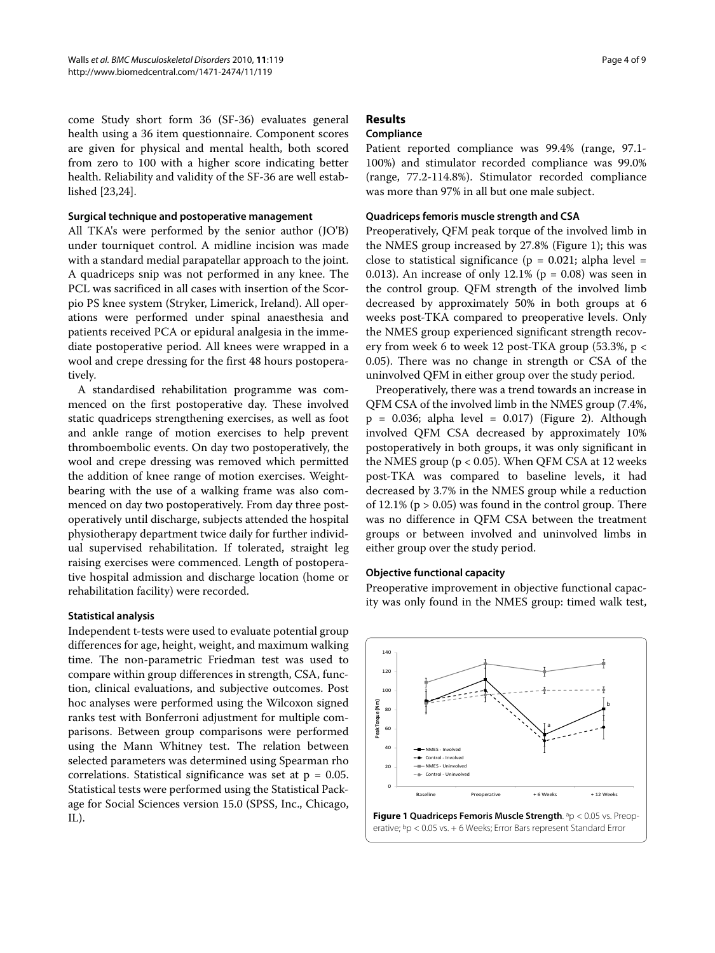come Study short form 36 (SF-36) evaluates general health using a 36 item questionnaire. Component scores are given for physical and mental health, both scored from zero to 100 with a higher score indicating better health. Reliability and validity of the SF-36 are well established [\[23](#page-8-18)[,24](#page-8-19)].

#### **Surgical technique and postoperative management**

All TKA's were performed by the senior author (JO'B) under tourniquet control. A midline incision was made with a standard medial parapatellar approach to the joint. A quadriceps snip was not performed in any knee. The PCL was sacrificed in all cases with insertion of the Scorpio PS knee system (Stryker, Limerick, Ireland). All operations were performed under spinal anaesthesia and patients received PCA or epidural analgesia in the immediate postoperative period. All knees were wrapped in a wool and crepe dressing for the first 48 hours postoperatively.

A standardised rehabilitation programme was commenced on the first postoperative day. These involved static quadriceps strengthening exercises, as well as foot and ankle range of motion exercises to help prevent thromboembolic events. On day two postoperatively, the wool and crepe dressing was removed which permitted the addition of knee range of motion exercises. Weightbearing with the use of a walking frame was also commenced on day two postoperatively. From day three postoperatively until discharge, subjects attended the hospital physiotherapy department twice daily for further individual supervised rehabilitation. If tolerated, straight leg raising exercises were commenced. Length of postoperative hospital admission and discharge location (home or rehabilitation facility) were recorded.

## **Statistical analysis**

Independent t-tests were used to evaluate potential group differences for age, height, weight, and maximum walking time. The non-parametric Friedman test was used to compare within group differences in strength, CSA, function, clinical evaluations, and subjective outcomes. Post hoc analyses were performed using the Wilcoxon signed ranks test with Bonferroni adjustment for multiple comparisons. Between group comparisons were performed using the Mann Whitney test. The relation between selected parameters was determined using Spearman rho correlations. Statistical significance was set at  $p = 0.05$ . Statistical tests were performed using the Statistical Package for Social Sciences version 15.0 (SPSS, Inc., Chicago, IL).

## **Results**

## **Compliance**

Patient reported compliance was 99.4% (range, 97.1- 100%) and stimulator recorded compliance was 99.0% (range, 77.2-114.8%). Stimulator recorded compliance was more than 97% in all but one male subject.

## **Quadriceps femoris muscle strength and CSA**

Preoperatively, QFM peak torque of the involved limb in the NMES group increased by 27.8% (Figure [1\)](#page-3-0); this was close to statistical significance ( $p = 0.021$ ; alpha level = 0.013). An increase of only  $12.1\%$  (p = 0.08) was seen in the control group. QFM strength of the involved limb decreased by approximately 50% in both groups at 6 weeks post-TKA compared to preoperative levels. Only the NMES group experienced significant strength recovery from week 6 to week 12 post-TKA group (53.3%, p < 0.05). There was no change in strength or CSA of the uninvolved QFM in either group over the study period.

Preoperatively, there was a trend towards an increase in QFM CSA of the involved limb in the NMES group (7.4%,  $p = 0.036$ ; alpha level = 0.017) (Figure [2](#page-4-0)). Although involved QFM CSA decreased by approximately 10% postoperatively in both groups, it was only significant in the NMES group ( $p < 0.05$ ). When QFM CSA at 12 weeks post-TKA was compared to baseline levels, it had decreased by 3.7% in the NMES group while a reduction of 12.1% ( $p > 0.05$ ) was found in the control group. There was no difference in QFM CSA between the treatment groups or between involved and uninvolved limbs in either group over the study period.

## **Objective functional capacity**

Preoperative improvement in objective functional capacity was only found in the NMES group: timed walk test,

<span id="page-3-0"></span>

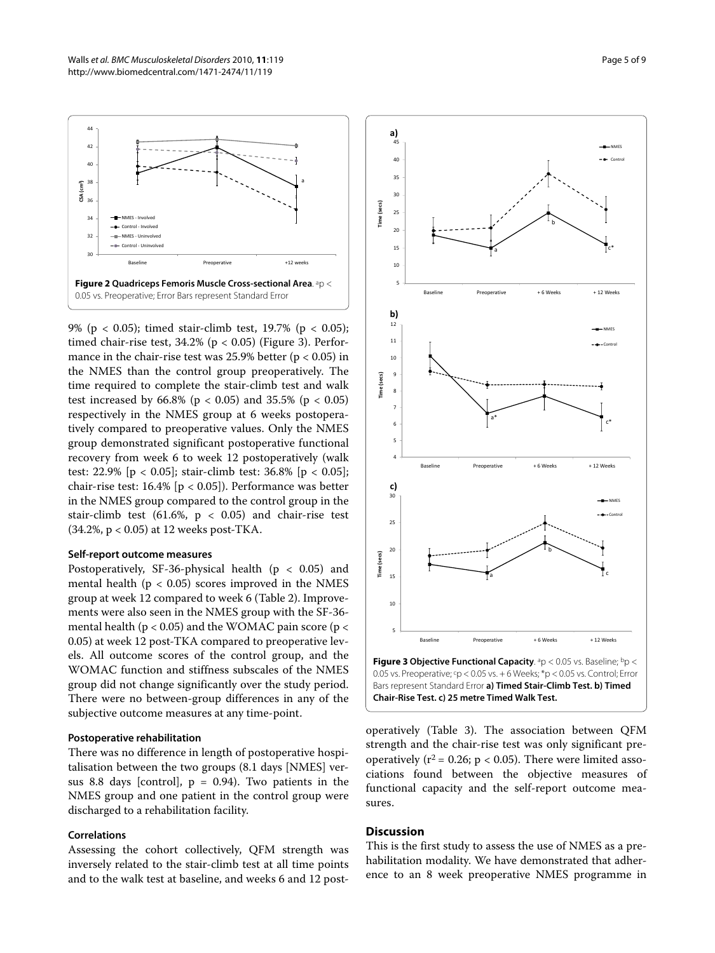<span id="page-4-0"></span>

9% (p < 0.05); timed stair-climb test, 19.7% (p < 0.05); timed chair-rise test,  $34.2\%$  $34.2\%$  (p < 0.05) (Figure 3). Performance in the chair-rise test was  $25.9\%$  better (p < 0.05) in the NMES than the control group preoperatively. The time required to complete the stair-climb test and walk test increased by 66.8% ( $p < 0.05$ ) and 35.5% ( $p < 0.05$ ) respectively in the NMES group at 6 weeks postoperatively compared to preoperative values. Only the NMES group demonstrated significant postoperative functional recovery from week 6 to week 12 postoperatively (walk test: 22.9% [p < 0.05]; stair-climb test: 36.8% [p < 0.05]; chair-rise test: 16.4% [p < 0.05]). Performance was better in the NMES group compared to the control group in the stair-climb test (61.6%,  $p < 0.05$ ) and chair-rise test (34.2%, p < 0.05) at 12 weeks post-TKA.

#### **Self-report outcome measures**

Postoperatively, SF-36-physical health ( $p < 0.05$ ) and mental health ( $p < 0.05$ ) scores improved in the NMES group at week 12 compared to week 6 (Table 2). Improvements were also seen in the NMES group with the SF-36 mental health ( $p < 0.05$ ) and the WOMAC pain score ( $p <$ 0.05) at week 12 post-TKA compared to preoperative levels. All outcome scores of the control group, and the WOMAC function and stiffness subscales of the NMES group did not change significantly over the study period. There were no between-group differences in any of the subjective outcome measures at any time-point.

#### **Postoperative rehabilitation**

There was no difference in length of postoperative hospitalisation between the two groups (8.1 days [NMES] versus 8.8 days [control],  $p = 0.94$ ). Two patients in the NMES group and one patient in the control group were discharged to a rehabilitation facility.

#### **Correlations**

Assessing the cohort collectively, QFM strength was inversely related to the stair-climb test at all time points and to the walk test at baseline, and weeks 6 and 12 post-

<span id="page-4-1"></span>

0.05 vs. Preoperative;  $cp < 0.05$  vs. + 6 Weeks;  $*p < 0.05$  vs. Control; Error Bars represent Standard Error **a) Timed Stair-Climb Test. b) Timed Chair-Rise Test. c) 25 metre Timed Walk Test.**

operatively (Table 3). The association between QFM strength and the chair-rise test was only significant preoperatively ( $r^2$  = 0.26;  $p$  < 0.05). There were limited associations found between the objective measures of functional capacity and the self-report outcome measures.

#### **Discussion**

This is the first study to assess the use of NMES as a prehabilitation modality. We have demonstrated that adherence to an 8 week preoperative NMES programme in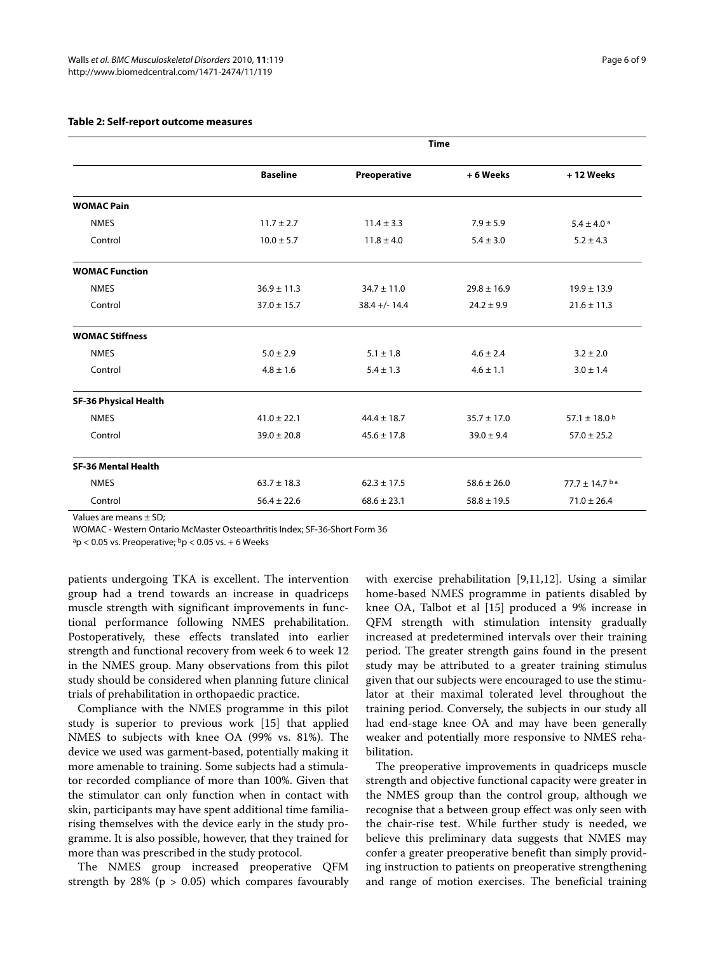### **Table 2: Self-report outcome measures**

|                              | <b>Time</b>     |                 |                 |                              |  |
|------------------------------|-----------------|-----------------|-----------------|------------------------------|--|
|                              | <b>Baseline</b> | Preoperative    | +6 Weeks        | +12 Weeks                    |  |
| <b>WOMAC Pain</b>            |                 |                 |                 |                              |  |
| <b>NMES</b>                  | $11.7 \pm 2.7$  | $11.4 \pm 3.3$  | $7.9 \pm 5.9$   | $5.4 \pm 4.0$ <sup>a</sup>   |  |
| Control                      | $10.0 \pm 5.7$  | $11.8 \pm 4.0$  | $5.4 \pm 3.0$   | $5.2 \pm 4.3$                |  |
| <b>WOMAC Function</b>        |                 |                 |                 |                              |  |
| <b>NMES</b>                  | $36.9 \pm 11.3$ | $34.7 \pm 11.0$ | $29.8 \pm 16.9$ | $19.9 \pm 13.9$              |  |
| Control                      | $37.0 \pm 15.7$ | $38.4 +/- 14.4$ | $24.2 \pm 9.9$  | $21.6 \pm 11.3$              |  |
| <b>WOMAC Stiffness</b>       |                 |                 |                 |                              |  |
| <b>NMES</b>                  | $5.0 \pm 2.9$   | $5.1 \pm 1.8$   | $4.6 \pm 2.4$   | $3.2 \pm 2.0$                |  |
| Control                      | $4.8 \pm 1.6$   | $5.4 \pm 1.3$   | $4.6 \pm 1.1$   | $3.0 \pm 1.4$                |  |
| <b>SF-36 Physical Health</b> |                 |                 |                 |                              |  |
| <b>NMES</b>                  | $41.0 \pm 22.1$ | $44.4 \pm 18.7$ | $35.7 \pm 17.0$ | 57.1 $\pm$ 18.0 <sup>b</sup> |  |
| Control                      | $39.0 \pm 20.8$ | $45.6 \pm 17.8$ | $39.0 \pm 9.4$  | $57.0 \pm 25.2$              |  |
| <b>SF-36 Mental Health</b>   |                 |                 |                 |                              |  |
| <b>NMES</b>                  | $63.7 \pm 18.3$ | $62.3 \pm 17.5$ | $58.6 \pm 26.0$ | $77.7 \pm 14.7$ ba           |  |
| Control                      | $56.4 \pm 22.6$ | $68.6 \pm 23.1$ | $58.8 \pm 19.5$ | $71.0 \pm 26.4$              |  |

Values are means ± SD;

WOMAC - Western Ontario McMaster Osteoarthritis Index; SF-36-Short Form 36

 $a$ p < 0.05 vs. Preoperative;  $b$ p < 0.05 vs. + 6 Weeks

patients undergoing TKA is excellent. The intervention group had a trend towards an increase in quadriceps muscle strength with significant improvements in functional performance following NMES prehabilitation. Postoperatively, these effects translated into earlier strength and functional recovery from week 6 to week 12 in the NMES group. Many observations from this pilot study should be considered when planning future clinical trials of prehabilitation in orthopaedic practice.

Compliance with the NMES programme in this pilot study is superior to previous work [\[15](#page-8-11)] that applied NMES to subjects with knee OA (99% vs. 81%). The device we used was garment-based, potentially making it more amenable to training. Some subjects had a stimulator recorded compliance of more than 100%. Given that the stimulator can only function when in contact with skin, participants may have spent additional time familiarising themselves with the device early in the study programme. It is also possible, however, that they trained for more than was prescribed in the study protocol.

The NMES group increased preoperative QFM strength by  $28\%$  (p > 0.05) which compares favourably with exercise prehabilitation [\[9](#page-8-7),[11](#page-8-9),[12\]](#page-8-8). Using a similar home-based NMES programme in patients disabled by knee OA, Talbot et al [\[15\]](#page-8-11) produced a 9% increase in QFM strength with stimulation intensity gradually increased at predetermined intervals over their training period. The greater strength gains found in the present study may be attributed to a greater training stimulus given that our subjects were encouraged to use the stimulator at their maximal tolerated level throughout the training period. Conversely, the subjects in our study all had end-stage knee OA and may have been generally weaker and potentially more responsive to NMES rehabilitation.

The preoperative improvements in quadriceps muscle strength and objective functional capacity were greater in the NMES group than the control group, although we recognise that a between group effect was only seen with the chair-rise test. While further study is needed, we believe this preliminary data suggests that NMES may confer a greater preoperative benefit than simply providing instruction to patients on preoperative strengthening and range of motion exercises. The beneficial training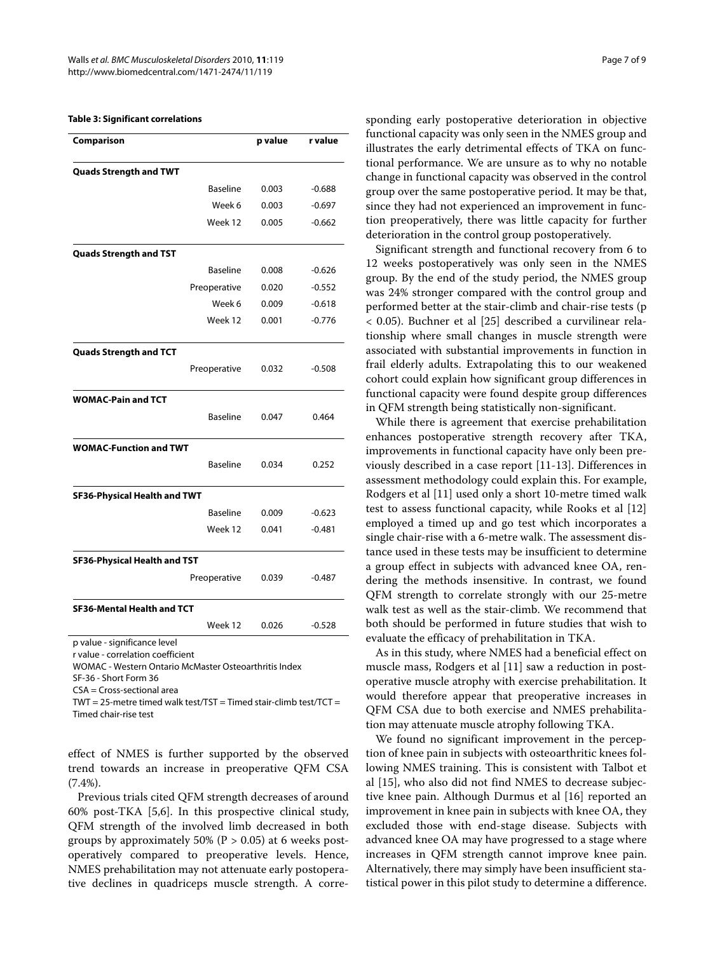#### **Table 3: Significant correlations**

| Comparison                        |                 | p value | r value  |
|-----------------------------------|-----------------|---------|----------|
| <b>Quads Strength and TWT</b>     |                 |         |          |
|                                   | <b>Baseline</b> | 0.003   | $-0.688$ |
|                                   | Week 6          | 0.003   | $-0.697$ |
|                                   | Week 12         | 0.005   | $-0.662$ |
| <b>Quads Strength and TST</b>     |                 |         |          |
|                                   | <b>Baseline</b> | 0.008   | $-0.626$ |
|                                   | Preoperative    | 0.020   | $-0.552$ |
|                                   | Week 6          | 0.009   | $-0.618$ |
|                                   | Week 12         | 0.001   | $-0.776$ |
| <b>Quads Strength and TCT</b>     |                 |         |          |
|                                   | Preoperative    | 0.032   | $-0.508$ |
| <b>WOMAC-Pain and TCT</b>         |                 |         |          |
|                                   | <b>Baseline</b> | 0.047   | 0.464    |
| <b>WOMAC-Function and TWT</b>     |                 |         |          |
|                                   | <b>Baseline</b> | 0.034   | 0.252    |
| SF36-Physical Health and TWT      |                 |         |          |
|                                   | <b>Baseline</b> | 0.009   | $-0.623$ |
|                                   | Week 12         | 0.041   | $-0.481$ |
| SF36-Physical Health and TST      |                 |         |          |
|                                   | Preoperative    | 0.039   | $-0.487$ |
| <b>SF36-Mental Health and TCT</b> |                 |         |          |
|                                   | Week 12         | 0.026   | $-0.528$ |
| p value - significance level      |                 |         |          |

r value - correlation coefficient

WOMAC - Western Ontario McMaster Osteoarthritis Index

SF-36 - Short Form 36

CSA = Cross-sectional area

TWT = 25-metre timed walk test/TST = Timed stair-climb test/TCT = Timed chair-rise test

effect of NMES is further supported by the observed trend towards an increase in preoperative QFM CSA  $(7.4\%)$ .

Previous trials cited QFM strength decreases of around 60% post-TKA [\[5](#page-8-20),[6](#page-8-4)]. In this prospective clinical study, QFM strength of the involved limb decreased in both groups by approximately 50% ( $P > 0.05$ ) at 6 weeks postoperatively compared to preoperative levels. Hence, NMES prehabilitation may not attenuate early postoperative declines in quadriceps muscle strength. A corre-

sponding early postoperative deterioration in objective functional capacity was only seen in the NMES group and illustrates the early detrimental effects of TKA on functional performance. We are unsure as to why no notable change in functional capacity was observed in the control group over the same postoperative period. It may be that, since they had not experienced an improvement in function preoperatively, there was little capacity for further deterioration in the control group postoperatively.

Significant strength and functional recovery from 6 to 12 weeks postoperatively was only seen in the NMES group. By the end of the study period, the NMES group was 24% stronger compared with the control group and performed better at the stair-climb and chair-rise tests (p < 0.05). Buchner et al [\[25](#page-8-21)] described a curvilinear relationship where small changes in muscle strength were associated with substantial improvements in function in frail elderly adults. Extrapolating this to our weakened cohort could explain how significant group differences in functional capacity were found despite group differences in QFM strength being statistically non-significant.

While there is agreement that exercise prehabilitation enhances postoperative strength recovery after TKA, improvements in functional capacity have only been previously described in a case report [[11](#page-8-9)-[13\]](#page-8-6). Differences in assessment methodology could explain this. For example, Rodgers et al [[11\]](#page-8-9) used only a short 10-metre timed walk test to assess functional capacity, while Rooks et al [[12](#page-8-8)] employed a timed up and go test which incorporates a single chair-rise with a 6-metre walk. The assessment distance used in these tests may be insufficient to determine a group effect in subjects with advanced knee OA, rendering the methods insensitive. In contrast, we found QFM strength to correlate strongly with our 25-metre walk test as well as the stair-climb. We recommend that both should be performed in future studies that wish to evaluate the efficacy of prehabilitation in TKA.

As in this study, where NMES had a beneficial effect on muscle mass, Rodgers et al [\[11](#page-8-9)] saw a reduction in postoperative muscle atrophy with exercise prehabilitation. It would therefore appear that preoperative increases in QFM CSA due to both exercise and NMES prehabilitation may attenuate muscle atrophy following TKA.

We found no significant improvement in the perception of knee pain in subjects with osteoarthritic knees following NMES training. This is consistent with Talbot et al [\[15\]](#page-8-11), who also did not find NMES to decrease subjective knee pain. Although Durmus et al [\[16](#page-8-12)] reported an improvement in knee pain in subjects with knee OA, they excluded those with end-stage disease. Subjects with advanced knee OA may have progressed to a stage where increases in QFM strength cannot improve knee pain. Alternatively, there may simply have been insufficient statistical power in this pilot study to determine a difference.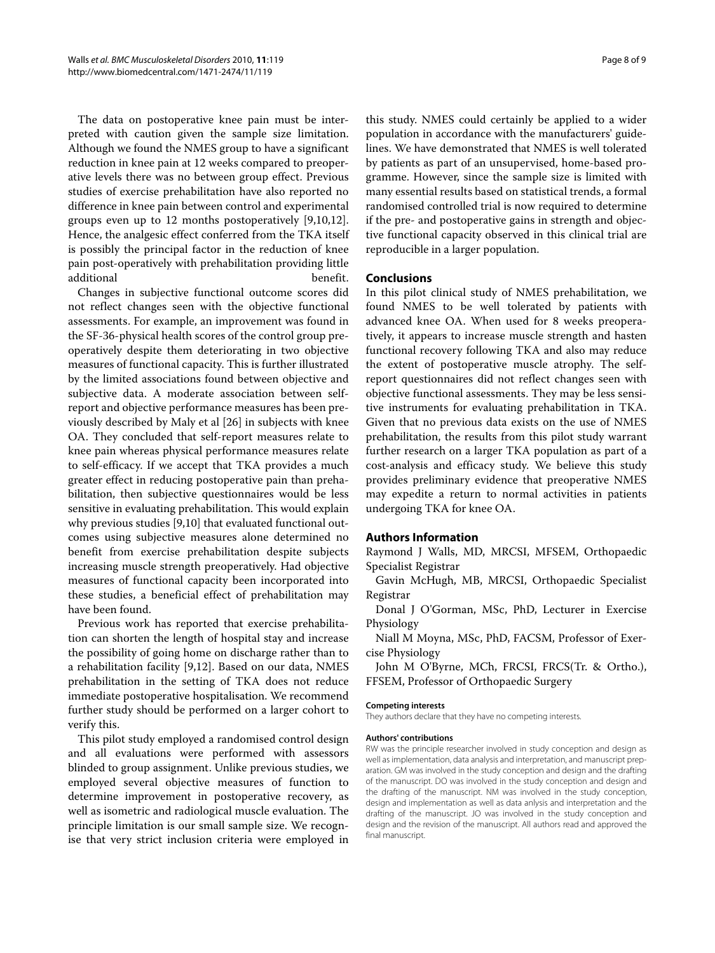The data on postoperative knee pain must be interpreted with caution given the sample size limitation. Although we found the NMES group to have a significant reduction in knee pain at 12 weeks compared to preoperative levels there was no between group effect. Previous studies of exercise prehabilitation have also reported no difference in knee pain between control and experimental groups even up to 12 months postoperatively [\[9](#page-8-7)[,10](#page-8-22)[,12](#page-8-8)]. Hence, the analgesic effect conferred from the TKA itself is possibly the principal factor in the reduction of knee pain post-operatively with prehabilitation providing little additional benefit.

Changes in subjective functional outcome scores did not reflect changes seen with the objective functional assessments. For example, an improvement was found in the SF-36-physical health scores of the control group preoperatively despite them deteriorating in two objective measures of functional capacity. This is further illustrated by the limited associations found between objective and subjective data. A moderate association between selfreport and objective performance measures has been previously described by Maly et al [[26](#page-8-23)] in subjects with knee OA. They concluded that self-report measures relate to knee pain whereas physical performance measures relate to self-efficacy. If we accept that TKA provides a much greater effect in reducing postoperative pain than prehabilitation, then subjective questionnaires would be less sensitive in evaluating prehabilitation. This would explain why previous studies [\[9](#page-8-7)[,10](#page-8-22)] that evaluated functional outcomes using subjective measures alone determined no benefit from exercise prehabilitation despite subjects increasing muscle strength preoperatively. Had objective measures of functional capacity been incorporated into these studies, a beneficial effect of prehabilitation may have been found.

Previous work has reported that exercise prehabilitation can shorten the length of hospital stay and increase the possibility of going home on discharge rather than to a rehabilitation facility [\[9](#page-8-7)[,12](#page-8-8)]. Based on our data, NMES prehabilitation in the setting of TKA does not reduce immediate postoperative hospitalisation. We recommend further study should be performed on a larger cohort to verify this.

This pilot study employed a randomised control design and all evaluations were performed with assessors blinded to group assignment. Unlike previous studies, we employed several objective measures of function to determine improvement in postoperative recovery, as well as isometric and radiological muscle evaluation. The principle limitation is our small sample size. We recognise that very strict inclusion criteria were employed in Page 8 of 9

this study. NMES could certainly be applied to a wider population in accordance with the manufacturers' guidelines. We have demonstrated that NMES is well tolerated by patients as part of an unsupervised, home-based programme. However, since the sample size is limited with many essential results based on statistical trends, a formal randomised controlled trial is now required to determine if the pre- and postoperative gains in strength and objective functional capacity observed in this clinical trial are reproducible in a larger population.

## **Conclusions**

In this pilot clinical study of NMES prehabilitation, we found NMES to be well tolerated by patients with advanced knee OA. When used for 8 weeks preoperatively, it appears to increase muscle strength and hasten functional recovery following TKA and also may reduce the extent of postoperative muscle atrophy. The selfreport questionnaires did not reflect changes seen with objective functional assessments. They may be less sensitive instruments for evaluating prehabilitation in TKA. Given that no previous data exists on the use of NMES prehabilitation, the results from this pilot study warrant further research on a larger TKA population as part of a cost-analysis and efficacy study. We believe this study provides preliminary evidence that preoperative NMES may expedite a return to normal activities in patients undergoing TKA for knee OA.

#### **Authors Information**

Raymond J Walls, MD, MRCSI, MFSEM, Orthopaedic Specialist Registrar

Gavin McHugh, MB, MRCSI, Orthopaedic Specialist Registrar

Donal J O'Gorman, MSc, PhD, Lecturer in Exercise Physiology

Niall M Moyna, MSc, PhD, FACSM, Professor of Exercise Physiology

John M O'Byrne, MCh, FRCSI, FRCS(Tr. & Ortho.), FFSEM, Professor of Orthopaedic Surgery

#### **Competing interests**

They authors declare that they have no competing interests.

#### **Authors' contributions**

RW was the principle researcher involved in study conception and design as well as implementation, data analysis and interpretation, and manuscript preparation. GM was involved in the study conception and design and the drafting of the manuscript. DO was involved in the study conception and design and the drafting of the manuscript. NM was involved in the study conception, design and implementation as well as data anlysis and interpretation and the drafting of the manuscript. JO was involved in the study conception and design and the revision of the manuscript. All authors read and approved the final manuscript.